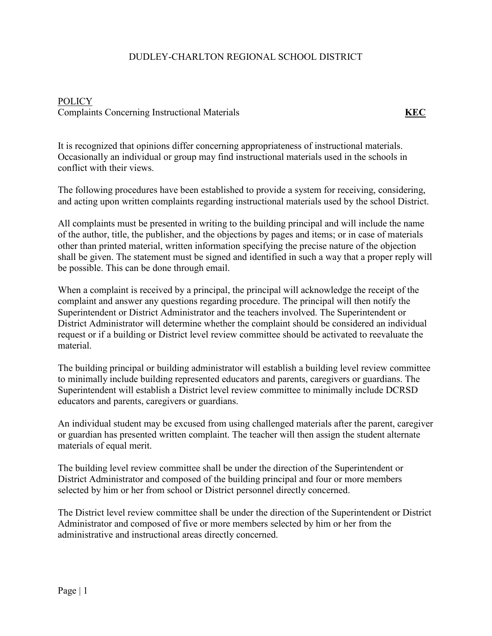## DUDLEY-CHARLTON REGIONAL SCHOOL DISTRICT

## POLICY Complaints Concerning Instructional Materials **KEC**

It is recognized that opinions differ concerning appropriateness of instructional materials. Occasionally an individual or group may find instructional materials used in the schools in conflict with their views.

The following procedures have been established to provide a system for receiving, considering, and acting upon written complaints regarding instructional materials used by the school District.

All complaints must be presented in writing to the building principal and will include the name of the author, title, the publisher, and the objections by pages and items; or in case of materials other than printed material, written information specifying the precise nature of the objection shall be given. The statement must be signed and identified in such a way that a proper reply will be possible. This can be done through email.

When a complaint is received by a principal, the principal will acknowledge the receipt of the complaint and answer any questions regarding procedure. The principal will then notify the Superintendent or District Administrator and the teachers involved. The Superintendent or District Administrator will determine whether the complaint should be considered an individual request or if a building or District level review committee should be activated to reevaluate the material.

The building principal or building administrator will establish a building level review committee to minimally include building represented educators and parents, caregivers or guardians. The Superintendent will establish a District level review committee to minimally include DCRSD educators and parents, caregivers or guardians.

An individual student may be excused from using challenged materials after the parent, caregiver or guardian has presented written complaint. The teacher will then assign the student alternate materials of equal merit.

The building level review committee shall be under the direction of the Superintendent or District Administrator and composed of the building principal and four or more members selected by him or her from school or District personnel directly concerned.

The District level review committee shall be under the direction of the Superintendent or District Administrator and composed of five or more members selected by him or her from the administrative and instructional areas directly concerned.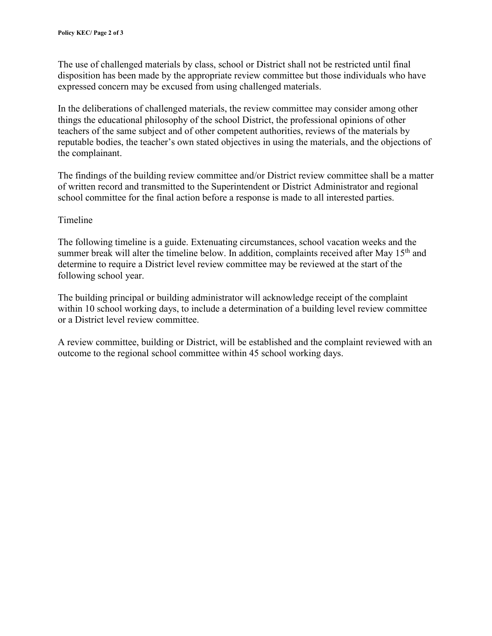The use of challenged materials by class, school or District shall not be restricted until final disposition has been made by the appropriate review committee but those individuals who have expressed concern may be excused from using challenged materials.

In the deliberations of challenged materials, the review committee may consider among other things the educational philosophy of the school District, the professional opinions of other teachers of the same subject and of other competent authorities, reviews of the materials by reputable bodies, the teacher's own stated objectives in using the materials, and the objections of the complainant.

The findings of the building review committee and/or District review committee shall be a matter of written record and transmitted to the Superintendent or District Administrator and regional school committee for the final action before a response is made to all interested parties.

## Timeline

The following timeline is a guide. Extenuating circumstances, school vacation weeks and the summer break will alter the timeline below. In addition, complaints received after May 15<sup>th</sup> and determine to require a District level review committee may be reviewed at the start of the following school year.

The building principal or building administrator will acknowledge receipt of the complaint within 10 school working days, to include a determination of a building level review committee or a District level review committee.

A review committee, building or District, will be established and the complaint reviewed with an outcome to the regional school committee within 45 school working days.